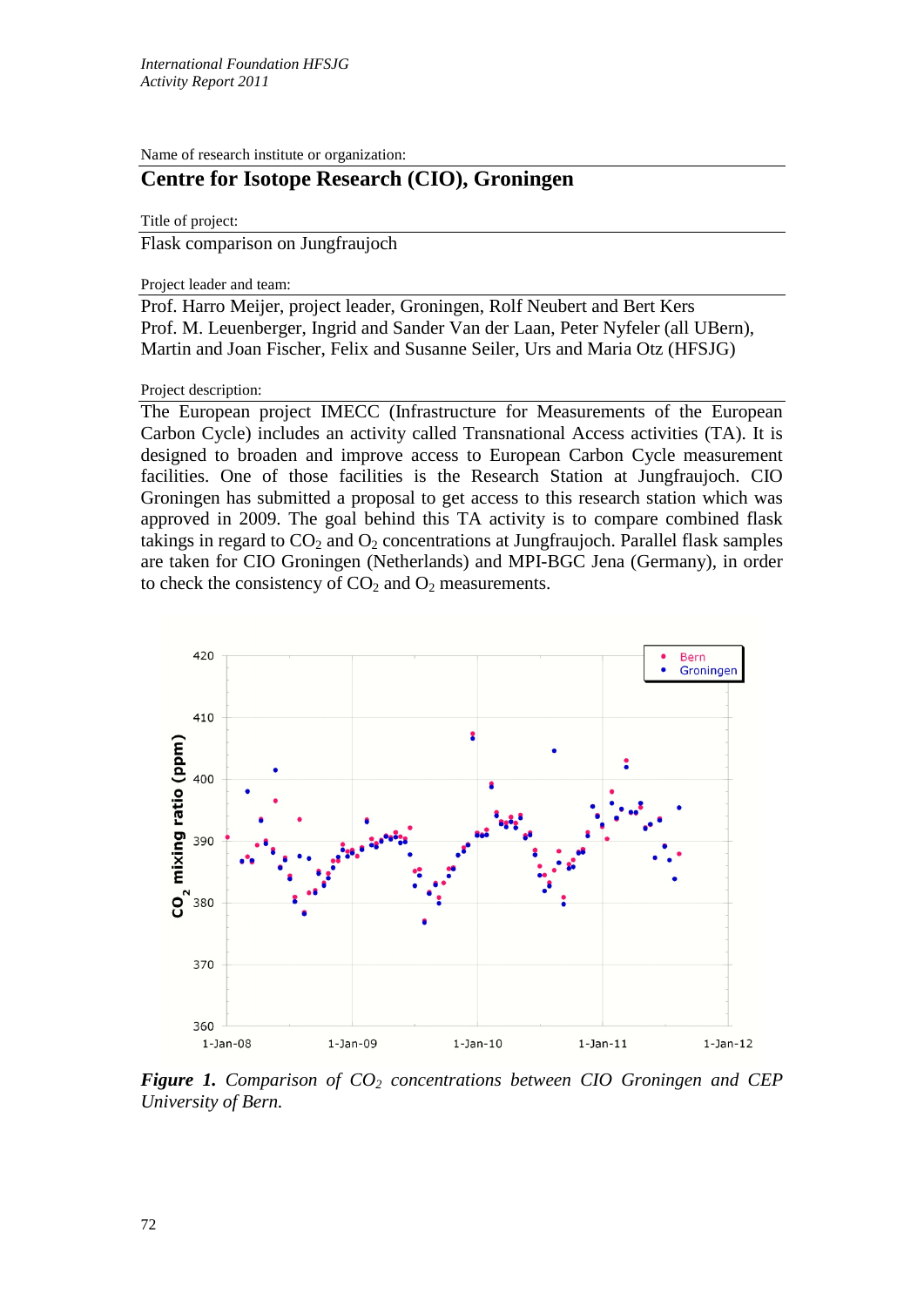Name of research institute or organization:

## **Centre for Isotope Research (CIO), Groningen**

Title of project:

Flask comparison on Jungfraujoch

Project leader and team:

Prof. Harro Meijer, project leader, Groningen, Rolf Neubert and Bert Kers Prof. M. Leuenberger, Ingrid and Sander Van der Laan, Peter Nyfeler (all UBern), Martin and Joan Fischer, Felix and Susanne Seiler, Urs and Maria Otz (HFSJG)

## Project description:

The European project IMECC (Infrastructure for Measurements of the European Carbon Cycle) includes an activity called Transnational Access activities (TA). It is designed to broaden and improve access to European Carbon Cycle measurement facilities. One of those facilities is the Research Station at Jungfraujoch. CIO Groningen has submitted a proposal to get access to this research station which was approved in 2009. The goal behind this TA activity is to compare combined flask takings in regard to  $CO<sub>2</sub>$  and  $O<sub>2</sub>$  concentrations at Jungfraujoch. Parallel flask samples are taken for CIO Groningen (Netherlands) and MPI-BGC Jena (Germany), in order to check the consistency of  $CO<sub>2</sub>$  and  $O<sub>2</sub>$  measurements.



*Figure 1. Comparison of CO<sub>2</sub> concentrations between CIO Groningen and CEP University of Bern.*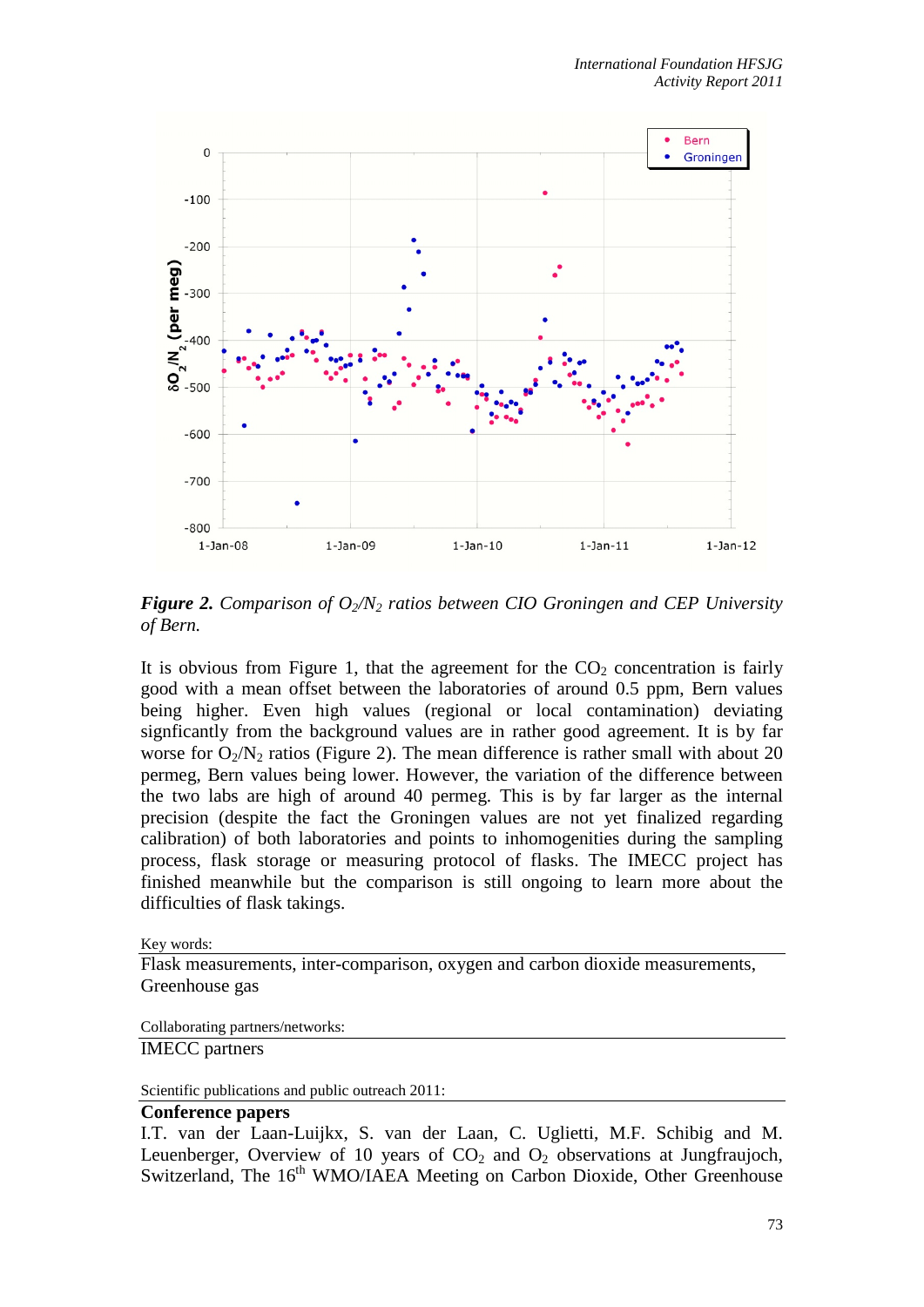

*Figure 2. Comparison of O2/N2 ratios between CIO Groningen and CEP University of Bern.* 

It is obvious from Figure 1, that the agreement for the  $CO<sub>2</sub>$  concentration is fairly good with a mean offset between the laboratories of around 0.5 ppm, Bern values being higher. Even high values (regional or local contamination) deviating signficantly from the background values are in rather good agreement. It is by far worse for  $O_2/N_2$  ratios (Figure 2). The mean difference is rather small with about 20 permeg, Bern values being lower. However, the variation of the difference between the two labs are high of around 40 permeg. This is by far larger as the internal precision (despite the fact the Groningen values are not yet finalized regarding calibration) of both laboratories and points to inhomogenities during the sampling process, flask storage or measuring protocol of flasks. The IMECC project has finished meanwhile but the comparison is still ongoing to learn more about the difficulties of flask takings.

Key words:

Flask measurements, inter-comparison, oxygen and carbon dioxide measurements, Greenhouse gas

Collaborating partners/networks:

IMECC partners

Scientific publications and public outreach 2011:

## **Conference papers**

I.T. van der Laan-Luijkx, S. van der Laan, C. Uglietti, M.F. Schibig and M. Leuenberger, Overview of 10 years of  $CO<sub>2</sub>$  and  $O<sub>2</sub>$  observations at Jungfraujoch, Switzerland, The 16<sup>th</sup> WMO/IAEA Meeting on Carbon Dioxide, Other Greenhouse